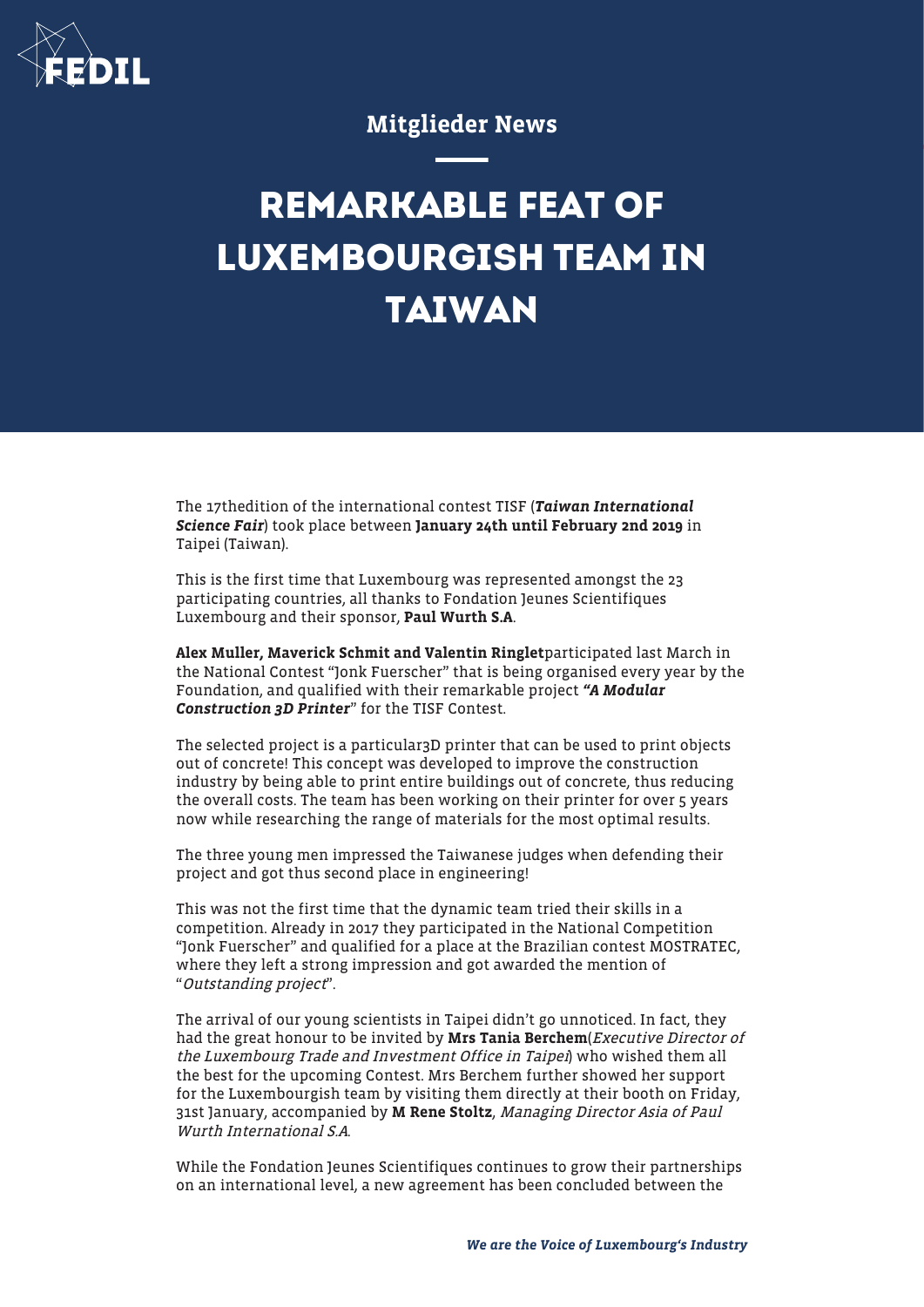

## Mitglieder News

## **REMARKABLE FEAT OF LUXEMBOURGISH TEAM IN TAIWAN**

The 17thedition of the international contest TISF (Taiwan International Science Fair) took place between January 24th until February 2nd 2019 in Taipei (Taiwan).

This is the first time that Luxembourg was represented amongst the 23 participating countries, all thanks to Fondation Jeunes Scientifiques Luxembourg and their sponsor, Paul Wurth S.A.

Alex Muller, Maverick Schmit and Valentin Ringletparticipated last March in the National Contest "Jonk Fuerscher" that is being organised every year by the Foundation, and qualified with their remarkable project "A Modular Construction 3D Printer" for the TISF Contest.

The selected project is a particular3D printer that can be used to print objects out of concrete! This concept was developed to improve the construction industry by being able to print entire buildings out of concrete, thus reducing the overall costs. The team has been working on their printer for over 5 years now while researching the range of materials for the most optimal results.

The three young men impressed the Taiwanese judges when defending their project and got thus second place in engineering!

This was not the first time that the dynamic team tried their skills in a competition. Already in 2017 they participated in the National Competition "Jonk Fuerscher" and qualified for a place at the Brazilian contest MOSTRATEC, where they left a strong impression and got awarded the mention of "Outstanding project".

The arrival of our young scientists in Taipei didn't go unnoticed. In fact, they had the great honour to be invited by Mrs Tania Berchem(Executive Director of the Luxembourg Trade and Investment Office in Taipei) who wished them all the best for the upcoming Contest. Mrs Berchem further showed her support for the Luxembourgish team by visiting them directly at their booth on Friday, 31st January, accompanied by M Rene Stoltz, Managing Director Asia of Paul Wurth International S.A.

While the Fondation Jeunes Scientifiques continues to grow their partnerships on an international level, a new agreement has been concluded between the